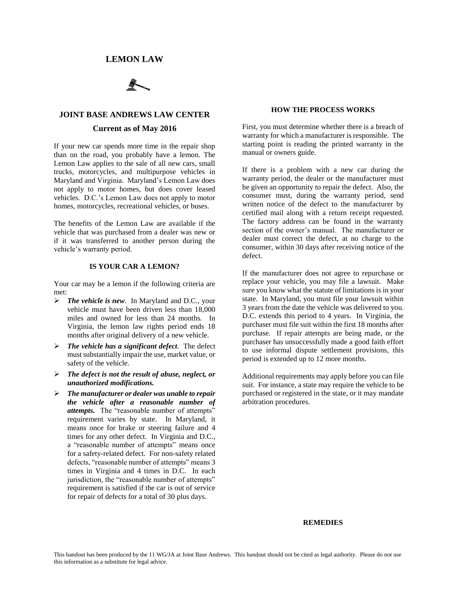# **LEMON LAW**

# **JOINT BASE ANDREWS LAW CENTER**

# **Current as of May 2016**

If your new car spends more time in the repair shop than on the road, you probably have a lemon. The Lemon Law applies to the sale of all new cars, small trucks, motorcycles, and multipurpose vehicles in Maryland and Virginia. Maryland's Lemon Law does not apply to motor homes, but does cover leased vehicles. D.C.'s Lemon Law does not apply to motor homes, motorcycles, recreational vehicles, or buses.

The benefits of the Lemon Law are available if the vehicle that was purchased from a dealer was new or if it was transferred to another person during the vehicle's warranty period.

#### **IS YOUR CAR A LEMON?**

Your car may be a lemon if the following criteria are met:

- *The vehicle is new*. In Maryland and D.C., your vehicle must have been driven less than 18,000 miles and owned for less than 24 months. In Virginia, the lemon law rights period ends 18 months after original delivery of a new vehicle.
- *The vehicle has a significant defect*. The defect must substantially impair the use, market value, or safety of the vehicle.
- *The defect is not the result of abuse, neglect, or unauthorized modifications.*
- *The manufacturer or dealer was unable to repair the vehicle after a reasonable number of attempts.* The "reasonable number of attempts" requirement varies by state. In Maryland, it means once for brake or steering failure and 4 times for any other defect. In Virginia and D.C., a "reasonable number of attempts" means once for a safety-related defect. For non-safety related defects, "reasonable number of attempts" means 3 times in Virginia and 4 times in D.C. In each jurisdiction, the "reasonable number of attempts" requirement is satisfied if the car is out of service for repair of defects for a total of 30 plus days.

#### **HOW THE PROCESS WORKS**

First, you must determine whether there is a breach of warranty for which a manufacturer is responsible. The starting point is reading the printed warranty in the manual or owners guide.

If there is a problem with a new car during the warranty period, the dealer or the manufacturer must be given an opportunity to repair the defect. Also, the consumer must, during the warranty period, send written notice of the defect to the manufacturer by certified mail along with a return receipt requested. The factory address can be found in the warranty section of the owner's manual. The manufacturer or dealer must correct the defect, at no charge to the consumer, within 30 days after receiving notice of the defect.

If the manufacturer does not agree to repurchase or replace your vehicle, you may file a lawsuit. Make sure you know what the statute of limitations is in your state. In Maryland, you must file your lawsuit within 3 years from the date the vehicle was delivered to you. D.C. extends this period to 4 years. In Virginia, the purchaser must file suit within the first 18 months after purchase. If repair attempts are being made, or the purchaser has unsuccessfully made a good faith effort to use informal dispute settlement provisions, this period is extended up to 12 more months.

Additional requirements may apply before you can file suit. For instance, a state may require the vehicle to be purchased or registered in the state, or it may mandate arbitration procedures.

### **REMEDIES**